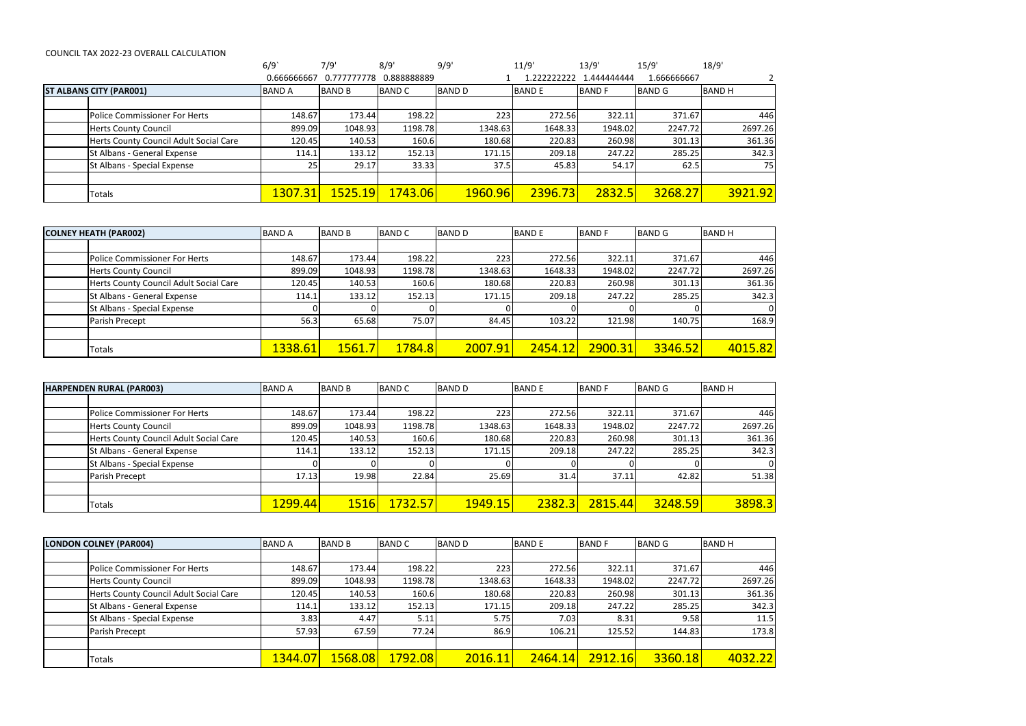## COUNCIL TAX 2022-23 OVERALL CALCULATION

|                                |                                        | 6/9             | 7/9'            | 8/9'           | 9/9'          | 11/9'        | 13/9'        | 15/9'         | 18/9'        |
|--------------------------------|----------------------------------------|-----------------|-----------------|----------------|---------------|--------------|--------------|---------------|--------------|
|                                |                                        | 0.666666667     | 0.777777778     | 0.888888889    |               | 222222222    | .444444444   | L.666666667   |              |
| <b>ST ALBANS CITY (PAR001)</b> |                                        | <b>BAND A</b>   | <b>BAND B</b>   | <b>BAND C</b>  | <b>BAND D</b> | <b>BANDE</b> | <b>BANDF</b> | <b>BAND G</b> | <b>BANDH</b> |
|                                |                                        |                 |                 |                |               |              |              |               |              |
|                                | <b>Police Commissioner For Herts</b>   | 148.67          | 173.44          | 198.22         | 223           | 272.56       | 322.11       | 371.67        | 446          |
|                                | <b>Herts County Council</b>            | 899.09          | 1048.93         | 1198.78        | 1348.63       | 1648.33      | 1948.02      | 2247.72       | 2697.26      |
|                                | Herts County Council Adult Social Care | 120.45          | 140.53          | 160.6          | 180.68        | 220.83       | 260.98       | 301.13        | 361.36       |
|                                | St Albans - General Expense            | 114.1           | 133.12          | 152.13         | 171.15        | 209.18       | 247.22       | 285.25        | 342.3        |
|                                | St Albans - Special Expense            | 25 <sub>1</sub> | 29.17           | 33.33          | 37.5          | 45.83        | 54.17        | 62.5          | 75           |
|                                |                                        |                 |                 |                |               |              |              |               |              |
|                                | Totals                                 | 1307.31         | <u>1525.19 </u> | <b>1743.06</b> | 1960.96       | 2396.73      | 2832.5       | 3268.27       | 3921.92      |

| <b>COLNEY HEATH (PAR002)</b>           | <b>BAND A</b>        | <b>BAND B</b> | <b>BAND C</b> | <b>BAND D</b> | <b>BAND E</b> | <b>BAND F</b> | <b>BAND G</b> | <b>BAND H</b> |
|----------------------------------------|----------------------|---------------|---------------|---------------|---------------|---------------|---------------|---------------|
|                                        |                      |               |               |               |               |               |               |               |
| <b>Police Commissioner For Herts</b>   | 148.67               | 173.44        | 198.22        | 223           | 272.56        | 322.11        | 371.67        | 446           |
| <b>Herts County Council</b>            | 899.09               | 1048.93       | 1198.78       | 1348.63       | 1648.33       | 1948.02       | 2247.72       | 2697.26       |
| Herts County Council Adult Social Care | 120.45               | 140.53        | 160.6         | 180.68        | 220.83        | 260.98        | 301.13        | 361.36        |
| St Albans - General Expense            | 114.1                | 133.12        | 152.13        | 171.15        | 209.18        | 247.22        | 285.25        | 342.3         |
| St Albans - Special Expense            |                      |               |               |               |               |               |               | 0             |
| Parish Precept                         | 56.3                 | 65.68         | 75.07         | 84.45         | 103.22        | 121.98        | 140.75        | 168.9         |
|                                        |                      |               |               |               |               |               |               |               |
| Totals                                 | <mark>1338.61</mark> | 1561.7        | 1784.8        | 2007.91       | 2454.12       | 2900.31       | 3346.52       | 4015.82       |

| <b>HARPENDEN RURAL (PAR003)</b>        | <b>BAND A</b>        | <b>BAND B</b> | <b>BAND C</b>  | <b>BAND D</b> | <b>BANDE</b> | <b>BAND F</b> | <b>BAND G</b> | <b>BAND H</b> |
|----------------------------------------|----------------------|---------------|----------------|---------------|--------------|---------------|---------------|---------------|
|                                        |                      |               |                |               |              |               |               |               |
| Police Commissioner For Herts          | 148.67               | 173.44        | 198.22         | 223           | 272.56       | 322.11        | 371.67        | 446           |
| <b>Herts County Council</b>            | 899.09               | 1048.93       | 1198.78        | 1348.63       | 1648.33      | 1948.02       | 2247.72       | 2697.26       |
| Herts County Council Adult Social Care | 120.45               | 140.53        | 160.6          | 180.68        | 220.83       | 260.98        | 301.13        | 361.36        |
| St Albans - General Expense            | 114.1                | 133.12        | 152.13         | 171.15        | 209.18       | 247.22        | 285.25        | 342.3         |
| St Albans - Special Expense            |                      |               |                |               |              |               |               | 0             |
| Parish Precept                         | 17.13                | 19.98         | 22.84          | 25.69         | 31.4         | 37.11         | 42.82         | 51.38         |
|                                        |                      |               |                |               |              |               |               |               |
| Totals                                 | <mark>1299.44</mark> | <b>1516</b>   | <b>1732.57</b> | 1949.15       | 2382.3       | 2815.44       | 3248.59       | 3898.3        |

| <b>LONDON COLNEY (PAR004)</b>          | <b>BAND A</b>        | <b>BAND B</b> | <b>BAND C</b> | <b>BAND D</b> | <b>BANDE</b> | <b>BAND F</b> | <b>BAND G</b> | <b>BAND H</b> |
|----------------------------------------|----------------------|---------------|---------------|---------------|--------------|---------------|---------------|---------------|
|                                        |                      |               |               |               |              |               |               |               |
| <b>Police Commissioner For Herts</b>   | 148.67               | 173.44        | 198.22        | 223           | 272.56       | 322.11        | 371.67        | 446           |
| <b>Herts County Council</b>            | 899.09               | 1048.93       | 1198.78       | 1348.63       | 1648.33      | 1948.02       | 2247.72       | 2697.26       |
| Herts County Council Adult Social Care | 120.45               | 140.53        | 160.6         | 180.68        | 220.83       | 260.98        | 301.13        | 361.36        |
| St Albans - General Expense            | 114.1                | 133.12        | 152.13        | 171.15        | 209.18       | 247.22        | 285.25        | 342.3         |
| St Albans - Special Expense            | 3.83                 | 4.47          | 5.11          | 5.75          | 7.03         | 8.31          | 9.58          | 11.5          |
| Parish Precept                         | 57.93                | 67.59         | 77.24         | 86.9          | 106.21       | 125.52        | 144.83        | 173.8         |
|                                        |                      |               |               |               |              |               |               |               |
| <b>Totals</b>                          | <mark>1344.07</mark> | 1568.08       | 1792.08       | 2016.11       | 2464.14      | 2912.16       | 3360.18       | 4032.22       |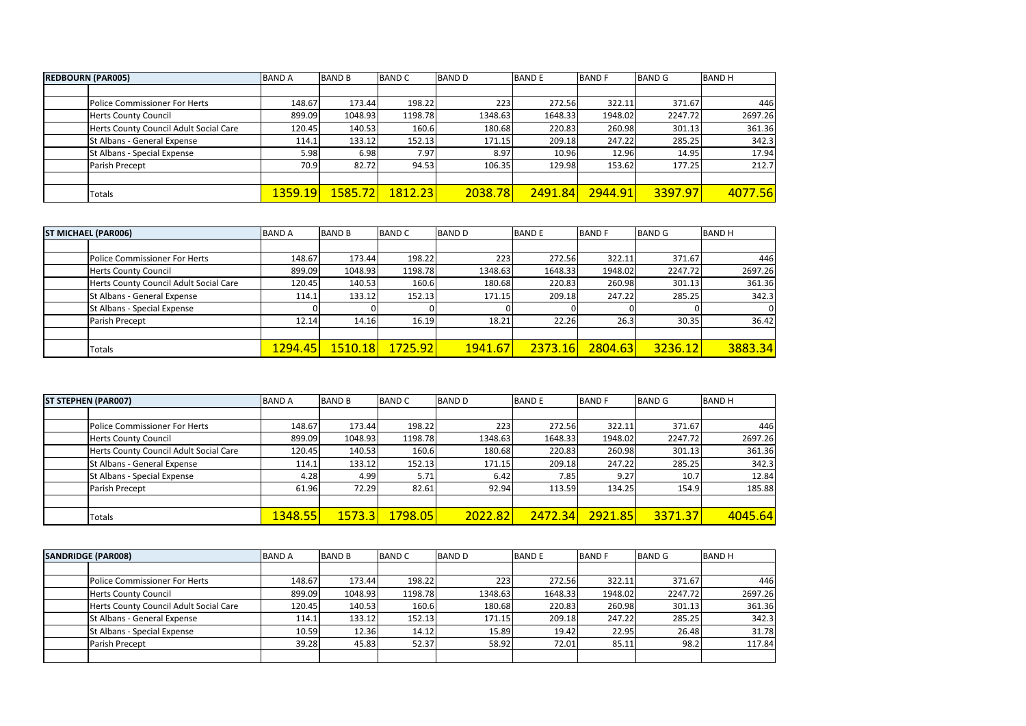| <b>REDBOURN (PAR005)</b><br><b>BAND A</b> |         | <b>BAND B</b>  | <b>BAND C</b> | <b>BAND D</b> | <b>BANDE</b>   | <b>BAND F</b> | <b>BAND G</b> | <b>BAND H</b> |
|-------------------------------------------|---------|----------------|---------------|---------------|----------------|---------------|---------------|---------------|
|                                           |         |                |               |               |                |               |               |               |
| Police Commissioner For Herts             | 148.67  | 173.44         | 198.22        | 223           | 272.56         | 322.11        | 371.67        | 446           |
| <b>Herts County Council</b>               | 899.09  | 1048.93        | 1198.78       | 1348.63       | 1648.33        | 1948.02       | 2247.72       | 2697.26       |
| Herts County Council Adult Social Care    | 120.45  | 140.53         | 160.6         | 180.68        | 220.83         | 260.98        | 301.13        | 361.36        |
| St Albans - General Expense               | 114.1   | 133.12         | 152.13        | 171.15        | 209.18         | 247.22        | 285.25        | 342.3         |
| St Albans - Special Expense               | 5.98    | 6.98           | 7.97          | 8.97          | 10.96          | 12.96         | 14.95         | 17.94         |
| Parish Precept                            | 70.9    | 82.72          | 94.53         | 106.35        | 129.98         | 153.62        | 177.25        | 212.7         |
|                                           |         |                |               |               |                |               |               |               |
| Totals                                    | 1359.19 | <u>1585.72</u> | 1812.23       | 2038.78       | <b>2491.84</b> | 2944.91       | 3397.97       | 4077.56       |

| <b>ST MICHAEL (PAR006)</b> |                                        | <b>BAND A</b> | <b>BAND B</b> | <b>BAND C</b> | <b>BAND D</b> | <b>BANDE</b> | <b>BANDF</b> | <b>BAND G</b> | <b>BANDH</b> |
|----------------------------|----------------------------------------|---------------|---------------|---------------|---------------|--------------|--------------|---------------|--------------|
|                            |                                        |               |               |               |               |              |              |               |              |
|                            | Police Commissioner For Herts          | 148.67        | 173.44        | 198.22        | 223           | 272.56       | 322.11       | 371.67        | 446          |
|                            | <b>Herts County Council</b>            | 899.09        | 1048.93       | 1198.78       | 1348.63       | 1648.33      | 1948.02      | 2247.72       | 2697.26      |
|                            | Herts County Council Adult Social Care | 120.45        | 140.53        | 160.6         | 180.68        | 220.83       | 260.98       | 301.13        | 361.36       |
|                            | St Albans - General Expense            | 114.1         | 133.12        | 152.13        | 171.15        | 209.18       | 247.22       | 285.25        | 342.3        |
|                            | St Albans - Special Expense            |               |               |               |               |              |              |               | 0            |
|                            | Parish Precept                         | 12.14         | 14.16         | 16.19         | 18.21         | 22.26        | 26.3         | 30.35         | 36.42        |
|                            |                                        |               |               |               |               |              |              |               |              |
|                            | Totals                                 | 1294.45       | 1510.18       | 1725.92       | 1941.67       | 2373.16      | 2804.63      | 3236.12       | 3883.34      |

| <b>ST STEPHEN (PAR007)</b>             | <b>BAND A</b> | <b>BAND B</b> | <b>BAND C</b>        | <b>BAND D</b> | <b>BANDE</b> | <b>BANDF</b> | <b>BAND G</b> | <b>BANDH</b> |
|----------------------------------------|---------------|---------------|----------------------|---------------|--------------|--------------|---------------|--------------|
|                                        |               |               |                      |               |              |              |               |              |
| Police Commissioner For Herts          | 148.67        | 173.44        | 198.22               | 223           | 272.56       | 322.11       | 371.67        | 446          |
| <b>Herts County Council</b>            | 899.09        | 1048.93       | 1198.78              | 1348.63       | 1648.33      | 1948.02      | 2247.72       | 2697.26      |
| Herts County Council Adult Social Care | 120.45        | 140.53        | 160.6                | 180.68        | 220.83       | 260.98       | 301.13        | 361.36       |
| St Albans - General Expense            | 114.1         | 133.12        | 152.13               | 171.15        | 209.18       | 247.22       | 285.25        | 342.3        |
| St Albans - Special Expense            | 4.28          | 4.99          | 5.71                 | 6.42          | 7.85         | 9.27         | 10.7          | 12.84        |
| Parish Precept                         | 61.96         | 72.29         | 82.61                | 92.94         | 113.59       | 134.25       | 154.9         | 185.88       |
|                                        |               |               |                      |               |              |              |               |              |
| <b>Totals</b>                          | 1348.55       | <b>1573.3</b> | <mark>1798.05</mark> | 2022.82       | 2472.34      | 2921.85      | 3371.37       | 4045.64      |

| <b>SANDRIDGE (PAR008)</b> |                                        | <b>BAND A</b> | <b>BAND B</b> | <b>BAND C</b> | <b>BAND D</b> | <b>BANDE</b> | <b>BAND F</b> | <b>BAND G</b> | <b>BAND H</b> |
|---------------------------|----------------------------------------|---------------|---------------|---------------|---------------|--------------|---------------|---------------|---------------|
|                           |                                        |               |               |               |               |              |               |               |               |
|                           | <b>Police Commissioner For Herts</b>   | 148.67        | 173.44        | 198.22        | 223           | 272.56       | 322.11        | 371.67        | 446           |
|                           | <b>Herts County Council</b>            | 899.09        | 1048.93       | 1198.78       | 1348.63       | 1648.33      | 1948.02       | 2247.72       | 2697.26       |
|                           | Herts County Council Adult Social Care | 120.45        | 140.53        | 160.6         | 180.68        | 220.83       | 260.98        | 301.13        | 361.36        |
|                           | St Albans - General Expense            | 114.1         | 133.12        | 152.13        | 171.15        | 209.18       | 247.22        | 285.25        | 342.3         |
|                           | St Albans - Special Expense            | 10.59         | 12.36         | 14.12         | 15.89         | 19.42        | 22.95         | 26.48         | 31.78         |
|                           | Parish Precept                         | 39.28         | 45.83         | 52.37         | 58.92         | 72.01        | 85.11         | 98.2          | 117.84        |
|                           |                                        |               |               |               |               |              |               |               |               |